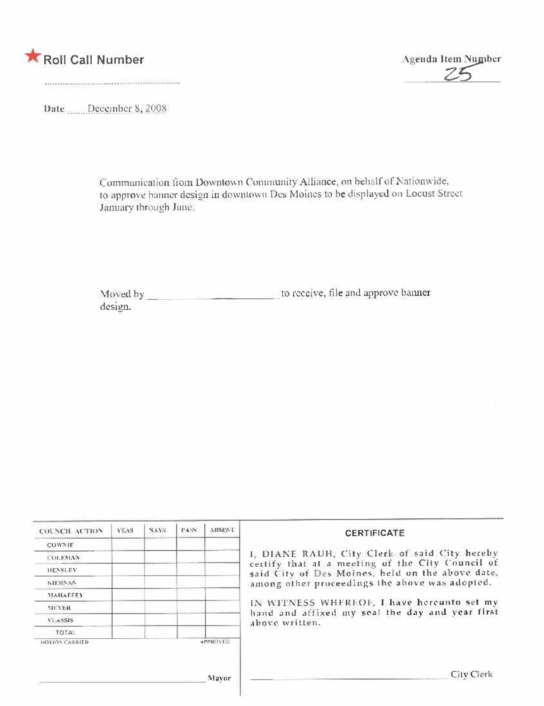



Date December 8, 2008

Communication from Downtown Community Alliance, on behalf of Nationwide, to approve banner design in downtown Des Moines to be displayed on Locust Street January through June.

design.

| <b>COLNCH ACTION</b>  | YEAS | NAYS: | PASS: | ABSENT          | <b>CERTIFICATE</b>                                                                                                                                                                                      |  |  |
|-----------------------|------|-------|-------|-----------------|---------------------------------------------------------------------------------------------------------------------------------------------------------------------------------------------------------|--|--|
| <b>COWNIE</b>         |      |       |       |                 |                                                                                                                                                                                                         |  |  |
| <b>COLEMAN</b>        |      |       |       |                 | 1, DIANE RAUH, City Clerk of said City hereby<br>certify that at a meeting of the City Council of<br>said City of Des Moines, held on the above date,<br>among other proceedings the above was adopted. |  |  |
| <b>HENSLEY</b>        |      |       |       |                 |                                                                                                                                                                                                         |  |  |
| <b>KIERNAN</b>        |      |       |       |                 |                                                                                                                                                                                                         |  |  |
| <b>MAHAEEEY</b>       |      |       |       |                 |                                                                                                                                                                                                         |  |  |
| <b>MEYER</b>          |      |       |       |                 | IN WITNESS WHEREOF, I have hereunto set my<br>hand and affixed my seal the day and year first                                                                                                           |  |  |
| VLASSIS.              |      |       |       |                 | above written.                                                                                                                                                                                          |  |  |
| <b>TOTAL</b>          |      |       |       |                 |                                                                                                                                                                                                         |  |  |
| <b>MOLION CARRIED</b> |      |       |       | <b>APPROVED</b> |                                                                                                                                                                                                         |  |  |
|                       |      |       |       | Mayor           | City Clerk                                                                                                                                                                                              |  |  |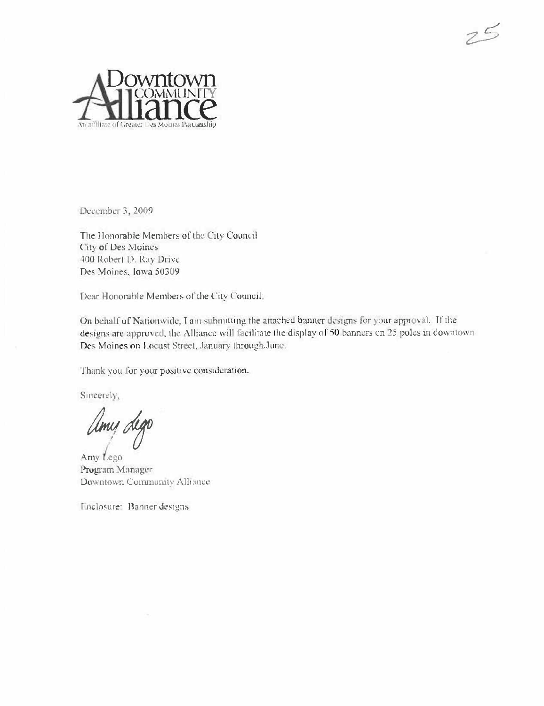

December 3, 2009

The Honorable Members of the City Council City of Des Moines 400 Robert D. Ray Drive Des Moines, Iowa 50309

Dear Honorable Members of the City Council:

On behalf of Nationwide, I am submitting the attached banner designs for your approval. If the designs are approved, the Alliance will facilitate the display of 50 banners on 25 poles in downtown. Des Moines on Locust Street, January through June.

 $75$ 

Thank you for your positive consideration.

Sincerely,

Umu dego

Amy Lego Program Manager Downtown Community Alliance

Enclosure: Banner designs